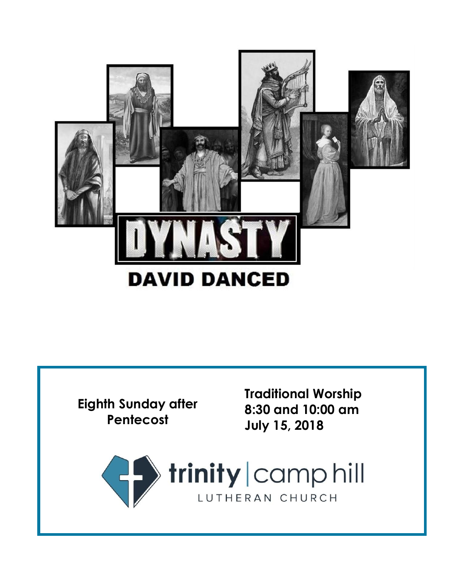



**Traditional Worship 8:30 and 10:00 am July 15, 2018**

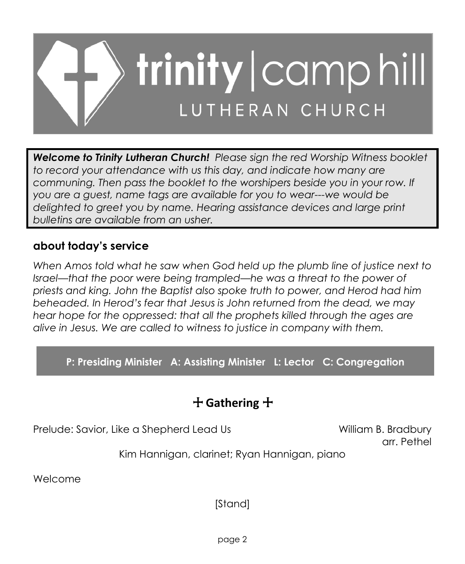

*Welcome to Trinity Lutheran Church! Please sign the red Worship Witness booklet to record your attendance with us this day, and indicate how many are communing. Then pass the booklet to the worshipers beside you in your row. If you are a guest, name tags are available for you to wear---we would be delighted to greet you by name. Hearing assistance devices and large print bulletins are available from an usher.*

### **about today's service**

*When Amos told what he saw when God held up the plumb line of justice next to Israel—that the poor were being trampled—he was a threat to the power of priests and king. John the Baptist also spoke truth to power, and Herod had him beheaded. In Herod's fear that Jesus is John returned from the dead, we may hear hope for the oppressed: that all the prophets killed through the ages are alive in Jesus. We are called to witness to justice in company with them.*

**P: Presiding Minister A: Assisting Minister L: Lector C: Congregation**

## + **Gathering** +

Prelude: Savior, Like a Shepherd Lead Us William B. Bradbury

arr. Pethel

Kim Hannigan, clarinet; Ryan Hannigan, piano

Welcome

[Stand]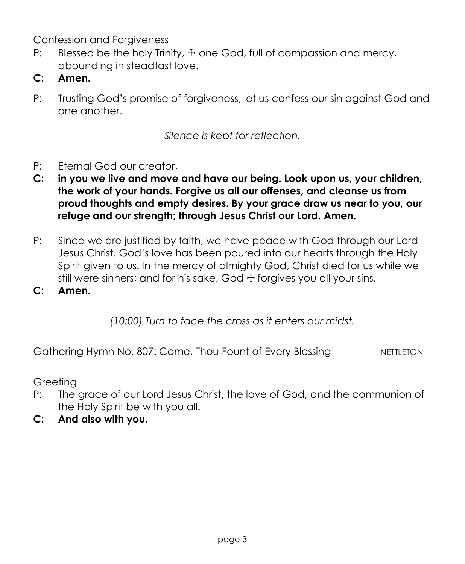Confession and Forgiveness

- P: Blessed be the holy Trinity,  $\pm$  one God, full of compassion and mercy, abounding in steadfast love.
- **C: Amen.**
- P: Trusting God's promise of forgiveness, let us confess our sin against God and one another.

*Silence is kept for reflection.*

- P: Eternal God our creator,
- **C: in you we live and move and have our being. Look upon us, your children, the work of your hands. Forgive us all our offenses, and cleanse us from proud thoughts and empty desires. By your grace draw us near to you, our refuge and our strength; through Jesus Christ our Lord. Amen.**
- P: Since we are justified by faith, we have peace with God through our Lord Jesus Christ. God's love has been poured into our hearts through the Holy Spirit given to us. In the mercy of almighty God, Christ died for us while we still were sinners; and for his sake, God + forgives you all your sins.

**C: Amen.**

*(10:00) Turn to face the cross as it enters our midst.*

Gathering Hymn No. 807: Come, Thou Fount of Every Blessing NETTLETON

Greeting

- P: The grace of our Lord Jesus Christ, the love of God, and the communion of the Holy Spirit be with you all.
- **C: And also with you.**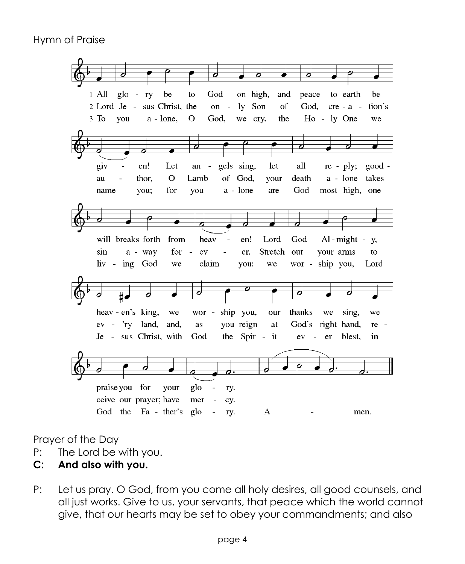

Prayer of the Day

- P: The Lord be with you.
- **C: And also with you.**
- P: Let us pray. O God, from you come all holy desires, all good counsels, and all just works. Give to us, your servants, that peace which the world cannot give, that our hearts may be set to obey your commandments; and also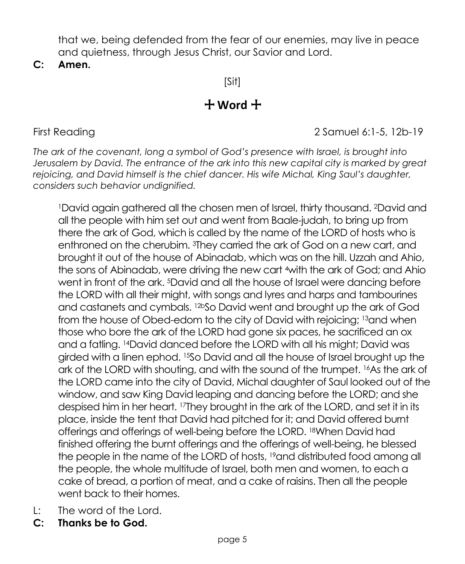that we, being defended from the fear of our enemies, may live in peace and quietness, through Jesus Christ, our Savior and Lord.

**C: Amen.**

[Sit]

# + **Word** +

First Reading 2 Samuel 6:1-5, 12b-19

*The ark of the covenant, long a symbol of God's presence with Israel, is brought into Jerusalem by David. The entrance of the ark into this new capital city is marked by great rejoicing, and David himself is the chief dancer. His wife Michal, King Saul's daughter, considers such behavior undignified.*

<sup>1</sup>David again gathered all the chosen men of Israel, thirty thousand. 2David and all the people with him set out and went from Baale-judah, to bring up from there the ark of God, which is called by the name of the LORD of hosts who is enthroned on the cherubim. 3They carried the ark of God on a new cart, and brought it out of the house of Abinadab, which was on the hill. Uzzah and Ahio, the sons of Abinadab, were driving the new cart 4with the ark of God; and Ahio went in front of the ark. 5David and all the house of Israel were dancing before the LORD with all their might, with songs and lyres and harps and tambourines and castanets and cymbals. 12bSo David went and brought up the ark of God from the house of Obed-edom to the city of David with rejoicing; 13and when those who bore the ark of the LORD had gone six paces, he sacrificed an ox and a fatling. 14David danced before the LORD with all his might; David was girded with a linen ephod. 15So David and all the house of Israel brought up the ark of the LORD with shouting, and with the sound of the trumpet. <sup>16</sup>As the ark of the LORD came into the city of David, Michal daughter of Saul looked out of the window, and saw King David leaping and dancing before the LORD; and she despised him in her heart. <sup>17</sup>They brought in the ark of the LORD, and set it in its place, inside the tent that David had pitched for it; and David offered burnt offerings and offerings of well-being before the LORD. 18When David had finished offering the burnt offerings and the offerings of well-being, he blessed the people in the name of the LORD of hosts, <sup>19</sup>and distributed food among all the people, the whole multitude of Israel, both men and women, to each a cake of bread, a portion of meat, and a cake of raisins. Then all the people went back to their homes.

- L: The word of the Lord.
- **C: Thanks be to God.**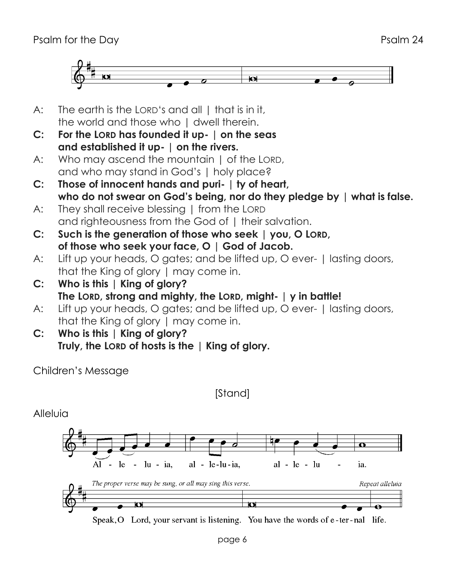

- A: The earth is the LORD's and all I that is in it. the world and those who I dwell therein.
- **C: For the LORD has founded it up- | on the seas and established it up- | on the rivers.**
- A: Who may ascend the mountain I of the LORD. and who may stand in God's | holy place?
- **C: Those of innocent hands and puri- | ty of heart, who do not swear on God's being, nor do they pledge by | what is false.**
- A: They shall receive blessing | from the LORD and righteousness from the God of I their salvation.
- **C: Such is the generation of those who seek | you, O LORD, of those who seek your face, O | God of Jacob.**
- A: Lift up your heads, O gates; and be lifted up, O ever- | lasting doors, that the King of glory | may come in.
- **C: Who is this | King of glory? The LORD, strong and mighty, the LORD, might- | y in battle!**
- A: Lift up your heads, O gates; and be lifted up, O ever- I lasting doors, that the King of glory | may come in.
- **C: Who is this | King of glory? Truly, the LORD of hosts is the | King of glory.**

Children's Message

[Stand]

Alleluia



Speak, O Lord, your servant is listening. You have the words of e-ter-nal life.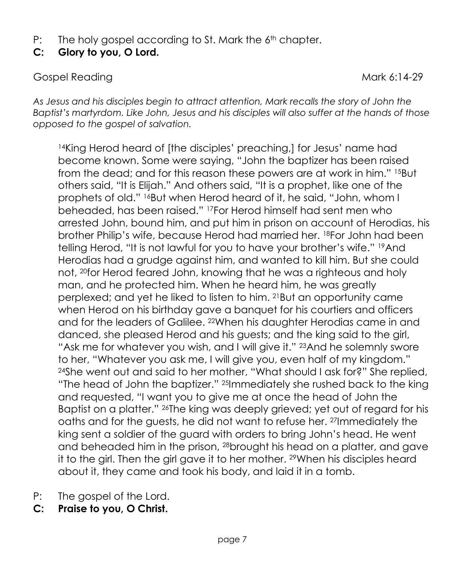- P: The holy gospel according to St. Mark the 6<sup>th</sup> chapter.
- **C: Glory to you, O Lord.**

Gospel Reading Mark 6:14-29

*As Jesus and his disciples begin to attract attention, Mark recalls the story of John the Baptist's martyrdom. Like John, Jesus and his disciples will also suffer at the hands of those opposed to the gospel of salvation.*

<sup>14</sup>King Herod heard of [the disciples' preaching,] for Jesus' name had become known. Some were saying, "John the baptizer has been raised from the dead; and for this reason these powers are at work in him." 15But others said, "It is Elijah." And others said, "It is a prophet, like one of the prophets of old." <sup>16</sup>But when Herod heard of it, he said, "John, whom I beheaded, has been raised." <sup>17</sup>For Herod himself had sent men who arrested John, bound him, and put him in prison on account of Herodias, his brother Philip's wife, because Herod had married her. 18For John had been telling Herod, "It is not lawful for you to have your brother's wife." 19And Herodias had a grudge against him, and wanted to kill him. But she could not, 20for Herod feared John, knowing that he was a righteous and holy man, and he protected him. When he heard him, he was greatly perplexed; and yet he liked to listen to him. 21But an opportunity came when Herod on his birthday gave a banquet for his courtiers and officers and for the leaders of Galilee. 22When his daughter Herodias came in and danced, she pleased Herod and his guests; and the king said to the girl, "Ask me for whatever you wish, and I will give it." <sup>23</sup>And he solemnly swore to her, "Whatever you ask me, I will give you, even half of my kingdom." <sup>24</sup>She went out and said to her mother, "What should I ask for?" She replied, "The head of John the baptizer." 25Immediately she rushed back to the king and requested, "I want you to give me at once the head of John the Baptist on a platter." 26The king was deeply grieved; yet out of regard for his oaths and for the guests, he did not want to refuse her. 27Immediately the king sent a soldier of the guard with orders to bring John's head. He went and beheaded him in the prison, 28brought his head on a platter, and gave it to the girl. Then the girl gave it to her mother. 29When his disciples heard about it, they came and took his body, and laid it in a tomb.

- P: The gospel of the Lord.
- **C: Praise to you, O Christ.**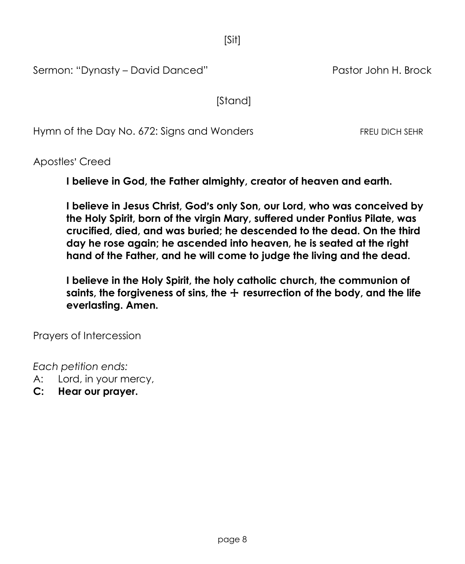[Sit]

Sermon: "Dynasty – David Danced" Pastor John H. Brock

[Stand]

Hymn of the Day No. 672: Sians and Wonders FREU DICH SEHR

Apostles' Creed

**I believe in God, the Father almighty, creator of heaven and earth.**

**I believe in Jesus Christ, God's only Son, our Lord, who was conceived by the Holy Spirit, born of the virgin Mary, suffered under Pontius Pilate, was crucified, died, and was buried; he descended to the dead. On the third day he rose again; he ascended into heaven, he is seated at the right hand of the Father, and he will come to judge the living and the dead.**

**I believe in the Holy Spirit, the holy catholic church, the communion of saints, the forgiveness of sins, the** + **resurrection of the body, and the life everlasting. Amen.**

Prayers of Intercession

*Each petition ends:*

- A: Lord, in your mercy,
- **C: Hear our prayer.**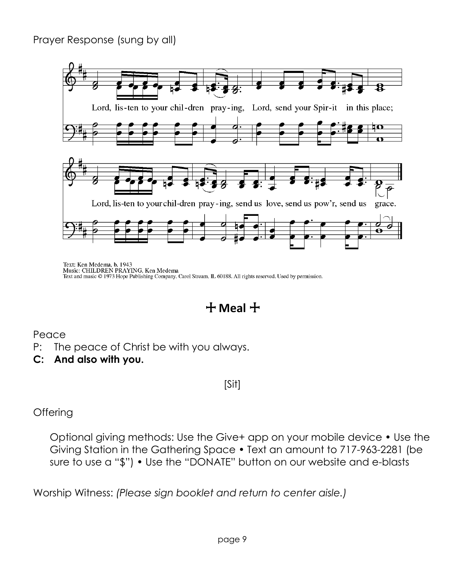### Prayer Response (sung by all)



Text: Ken Medema, b. 1943<br>Music: CHILDREN PRAYING, Ken Medema Text and music © 1973 Hope Publishing Company, Carol Stream, IL 60188. All rights reserved. Used by permission.

+ **Meal** +

### Peace

- P: The peace of Christ be with you always.
- **C: And also with you.**

[Sit]

**Offering** 

Optional giving methods: Use the Give+ app on your mobile device • Use the Giving Station in the Gathering Space • Text an amount to 717-963-2281 (be sure to use a "\$") • Use the "DONATE" button on our website and e-blasts

Worship Witness: *(Please sign booklet and return to center aisle.)*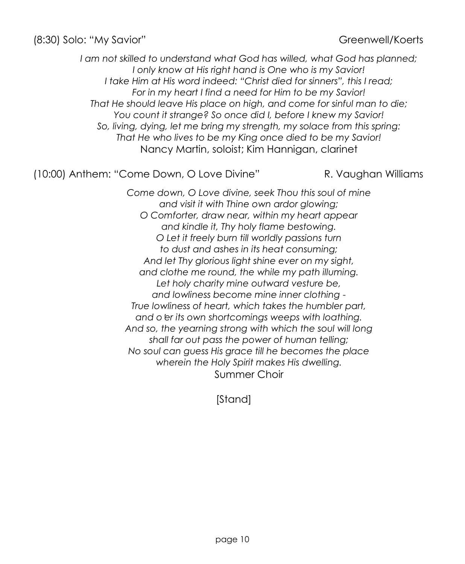(8:30) Solo: "My Savior" Greenwell/Koerts

*I am not skilled to understand what God has willed, what God has planned; I only know at His right hand is One who is my Savior! I take Him at His word indeed: "Christ died for sinners", this I read; For in my heart I find a need for Him to be my Savior! That He should leave His place on high, and come for sinful man to die; You count it strange? So once did I, before I knew my Savior! So, living, dying, let me bring my strength, my solace from this spring: That He who lives to be my King once died to be my Savior!* Nancy Martin, soloist; Kim Hannigan, clarinet

(10:00) Anthem: "Come Down, O Love Divine" R. Vaughan Williams

*Come down, O Love divine, seek Thou this soul of mine and visit it with Thine own ardor glowing; O Comforter, draw near, within my heart appear and kindle it, Thy holy flame bestowing. O Let it freely burn till worldly passions turn to dust and ashes in its heat consuming; And let Thy glorious light shine ever on my sight, and clothe me round, the while my path illuming. Let holy charity mine outward vesture be, and lowliness become mine inner clothing - True lowliness of heart, which takes the humbler part, and o*=*er its own shortcomings weeps with loathing. And so, the yearning strong with which the soul will long shall far out pass the power of human telling; No soul can guess His grace till he becomes the place wherein the Holy Spirit makes His dwelling.* Summer Choir

[Stand]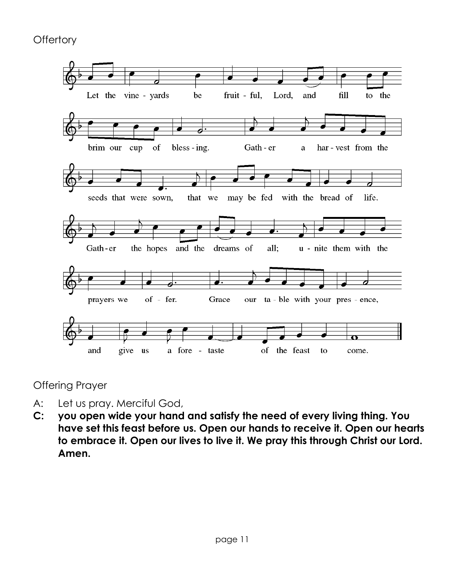**Offertory** 



Offering Prayer

- A: Let us pray. Merciful God,
- **C: you open wide your hand and satisfy the need of every living thing. You have set this feast before us. Open our hands to receive it. Open our hearts to embrace it. Open our lives to live it. We pray this through Christ our Lord. Amen.**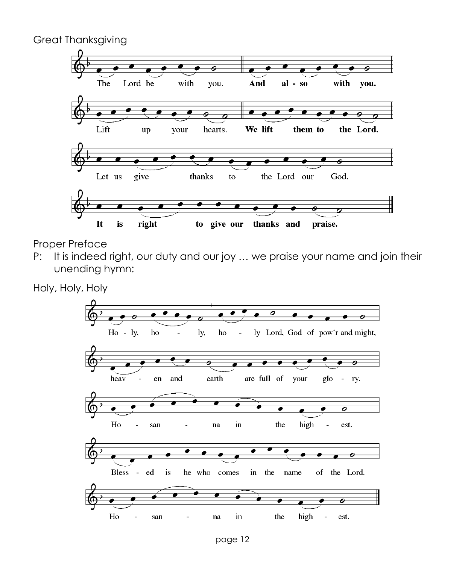Great Thanksgiving



Proper Preface

P: It is indeed right, our duty and our joy ... we praise your name and join their unending hymn:

Holy, Holy, Holy

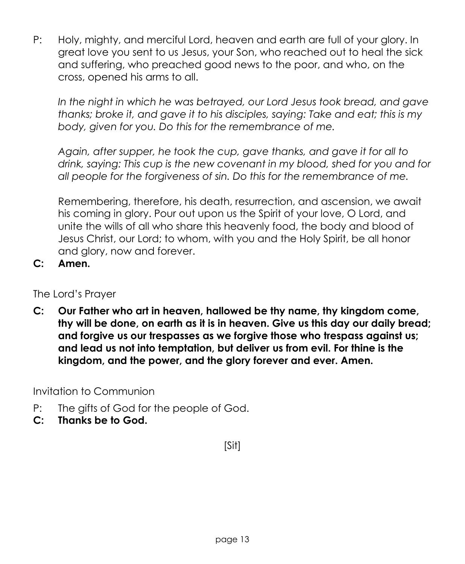P: Holy, mighty, and merciful Lord, heaven and earth are full of your glory. In great love you sent to us Jesus, your Son, who reached out to heal the sick and suffering, who preached good news to the poor, and who, on the cross, opened his arms to all.

*In the night in which he was betrayed, our Lord Jesus took bread, and gave thanks; broke it, and gave it to his disciples, saying: Take and eat; this is my body, given for you. Do this for the remembrance of me.*

*Again, after supper, he took the cup, gave thanks, and gave it for all to drink, saying: This cup is the new covenant in my blood, shed for you and for all people for the forgiveness of sin. Do this for the remembrance of me.*

Remembering, therefore, his death, resurrection, and ascension, we await his coming in glory. Pour out upon us the Spirit of your love, O Lord, and unite the wills of all who share this heavenly food, the body and blood of Jesus Christ, our Lord; to whom, with you and the Holy Spirit, be all honor and glory, now and forever.

**C: Amen.**

The Lord's Prayer

**C: Our Father who art in heaven, hallowed be thy name, thy kingdom come, thy will be done, on earth as it is in heaven. Give us this day our daily bread; and forgive us our trespasses as we forgive those who trespass against us; and lead us not into temptation, but deliver us from evil. For thine is the kingdom, and the power, and the glory forever and ever. Amen.**

Invitation to Communion

- P: The gifts of God for the people of God.
- **C: Thanks be to God.**

[Sit]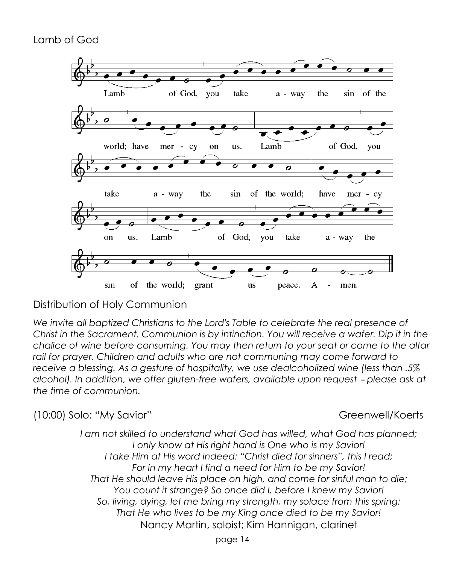### Lamb of God



### Distribution of Holy Communion

*We invite all baptized Christians to the Lord's Table to celebrate the real presence of Christ in the Sacrament. Communion is by intinction. You will receive a wafer. Dip it in the chalice of wine before consuming. You may then return to your seat or come to the altar rail for prayer. Children and adults who are not communing may come forward to receive a blessing. As a gesture of hospitality, we use dealcoholized wine (less than .5% alcohol). In addition, we offer gluten-free wafers, available upon request - please ask at the time of communion.* 

(10:00) Solo: "My Savior" Greenwell/Koerts

*I am not skilled to understand what God has willed, what God has planned; I only know at His right hand is One who is my Savior! I take Him at His word indeed: "Christ died for sinners", this I read; For in my heart I find a need for Him to be my Savior! That He should leave His place on high, and come for sinful man to die; You count it strange? So once did I, before I knew my Savior! So, living, dying, let me bring my strength, my solace from this spring: That He who lives to be my King once died to be my Savior!* Nancy Martin, soloist; Kim Hannigan, clarinet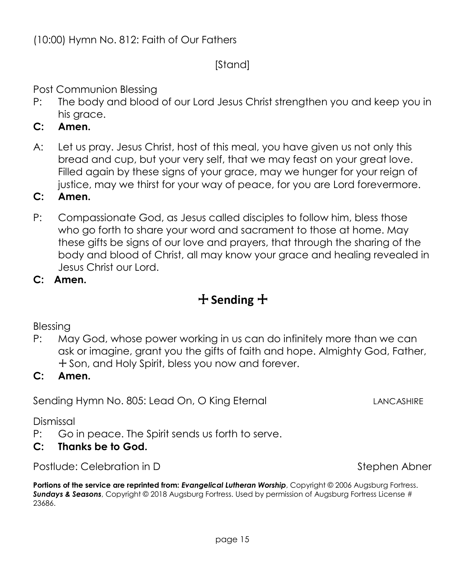Portions of the service are reprinted from: *Evangelical Lutheran Worship*, Copyright © 2006 Augsburg Fortress. *Sundays & Seasons*, Copyright © 2018 Augsburg Fortress. Used by permission of Augsburg Fortress License # 23686.

**C: Amen.**

- P: Compassionate God, as Jesus called disciples to follow him, bless those who go forth to share your word and sacrament to those at home. May these gifts be signs of our love and prayers, that through the sharing of the body and blood of Christ, all may know your grace and healing revealed in Jesus Christ our Lord.
- **C: Amen.**

## + **Sending** +

### Blessing

P: May God, whose power working in us can do infinitely more than we can ask or imagine, grant you the gifts of faith and hope. Almighty God, Father, + Son, and Holy Spirit, bless you now and forever.

#### **C: Amen.**

Sending Hymn No. 805: Lead On, O King Eternal Land LANCASHIRE

Dismissal

P: Go in peace. The Spirit sends us forth to serve.

### **C: Thanks be to God.**

Postlude: Celebration in D Stephen Abner

Post Communion Blessing P: The body and blood of our Lord Jesus Christ strengthen you and keep you in his arace.

[Stand]

- **C: Amen.**
- A: Let us pray. Jesus Christ, host of this meal, you have given us not only this bread and cup, but your very self, that we may feast on your great love. Filled again by these signs of your grace, may we hunger for your reign of justice, may we thirst for your way of peace, for you are Lord forevermore.

(10:00) Hymn No. 812: Faith of Our Fathers